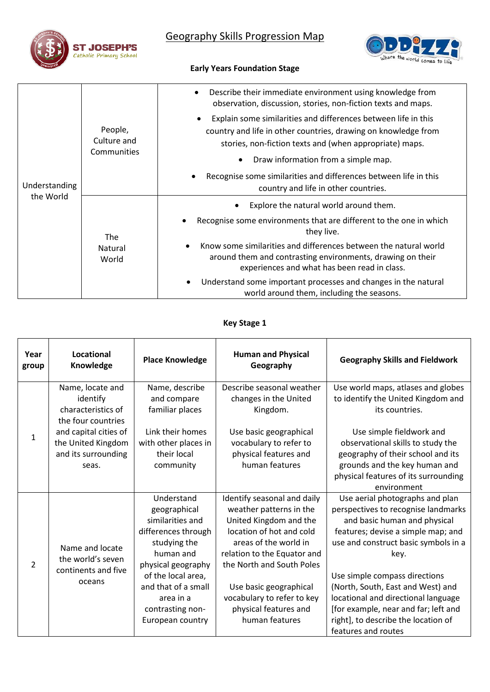

# Geography Skills Progression Map



## **Early Years Foundation Stage**

|                            | People,<br>Culture and<br>Communities | Describe their immediate environment using knowledge from<br>$\bullet$<br>observation, discussion, stories, non-fiction texts and maps.                                                     |
|----------------------------|---------------------------------------|---------------------------------------------------------------------------------------------------------------------------------------------------------------------------------------------|
|                            |                                       | Explain some similarities and differences between life in this<br>country and life in other countries, drawing on knowledge from<br>stories, non-fiction texts and (when appropriate) maps. |
|                            |                                       | Draw information from a simple map.<br>$\bullet$                                                                                                                                            |
| Understanding<br>the World |                                       | Recognise some similarities and differences between life in this<br>country and life in other countries.                                                                                    |
|                            | <b>The</b><br>Natural<br>World        | Explore the natural world around them.                                                                                                                                                      |
|                            |                                       | Recognise some environments that are different to the one in which<br>they live.                                                                                                            |
|                            |                                       | Know some similarities and differences between the natural world<br>around them and contrasting environments, drawing on their<br>experiences and what has been read in class.              |
|                            |                                       | Understand some important processes and changes in the natural<br>world around them, including the seasons.                                                                                 |

## **Key Stage 1**

| Year<br>group  | <b>Locational</b><br>Knowledge                                                                                                                          | <b>Place Knowledge</b>                                                                                                                                                                                                     | <b>Human and Physical</b><br>Geography                                                                                                                                                                                                                                                               | <b>Geography Skills and Fieldwork</b>                                                                                                                                                                                                                                                                                                                                                                           |
|----------------|---------------------------------------------------------------------------------------------------------------------------------------------------------|----------------------------------------------------------------------------------------------------------------------------------------------------------------------------------------------------------------------------|------------------------------------------------------------------------------------------------------------------------------------------------------------------------------------------------------------------------------------------------------------------------------------------------------|-----------------------------------------------------------------------------------------------------------------------------------------------------------------------------------------------------------------------------------------------------------------------------------------------------------------------------------------------------------------------------------------------------------------|
| 1              | Name, locate and<br>identify<br>characteristics of<br>the four countries<br>and capital cities of<br>the United Kingdom<br>and its surrounding<br>seas. | Name, describe<br>and compare<br>familiar places<br>Link their homes<br>with other places in<br>their local<br>community                                                                                                   | Describe seasonal weather<br>changes in the United<br>Kingdom.<br>Use basic geographical<br>vocabulary to refer to<br>physical features and<br>human features                                                                                                                                        | Use world maps, atlases and globes<br>to identify the United Kingdom and<br>its countries.<br>Use simple fieldwork and<br>observational skills to study the<br>geography of their school and its<br>grounds and the key human and<br>physical features of its surrounding<br>environment                                                                                                                        |
| $\overline{2}$ | Name and locate<br>the world's seven<br>continents and five<br>oceans                                                                                   | Understand<br>geographical<br>similarities and<br>differences through<br>studying the<br>human and<br>physical geography<br>of the local area,<br>and that of a small<br>area in a<br>contrasting non-<br>European country | Identify seasonal and daily<br>weather patterns in the<br>United Kingdom and the<br>location of hot and cold<br>areas of the world in<br>relation to the Equator and<br>the North and South Poles<br>Use basic geographical<br>vocabulary to refer to key<br>physical features and<br>human features | Use aerial photographs and plan<br>perspectives to recognise landmarks<br>and basic human and physical<br>features; devise a simple map; and<br>use and construct basic symbols in a<br>key.<br>Use simple compass directions<br>(North, South, East and West) and<br>locational and directional language<br>[for example, near and far; left and<br>right], to describe the location of<br>features and routes |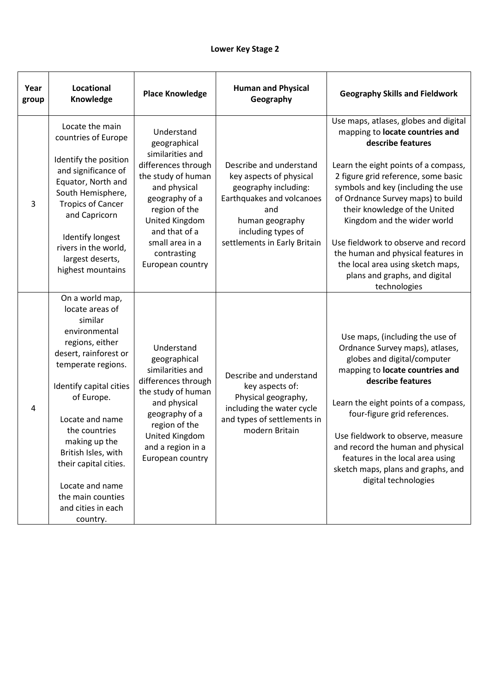| Year<br>group | Locational<br>Knowledge                                                                                                                                                                                                                                                                                                                                  | <b>Place Knowledge</b>                                                                                                                                                                                                                  | <b>Human and Physical</b><br>Geography                                                                                                                                                  | <b>Geography Skills and Fieldwork</b>                                                                                                                                                                                                                                                                                                                                                                                                                                                      |
|---------------|----------------------------------------------------------------------------------------------------------------------------------------------------------------------------------------------------------------------------------------------------------------------------------------------------------------------------------------------------------|-----------------------------------------------------------------------------------------------------------------------------------------------------------------------------------------------------------------------------------------|-----------------------------------------------------------------------------------------------------------------------------------------------------------------------------------------|--------------------------------------------------------------------------------------------------------------------------------------------------------------------------------------------------------------------------------------------------------------------------------------------------------------------------------------------------------------------------------------------------------------------------------------------------------------------------------------------|
| 3             | Locate the main<br>countries of Europe<br>Identify the position<br>and significance of<br>Equator, North and<br>South Hemisphere,<br><b>Tropics of Cancer</b><br>and Capricorn<br>Identify longest<br>rivers in the world,<br>largest deserts,<br>highest mountains                                                                                      | Understand<br>geographical<br>similarities and<br>differences through<br>the study of human<br>and physical<br>geography of a<br>region of the<br>United Kingdom<br>and that of a<br>small area in a<br>contrasting<br>European country | Describe and understand<br>key aspects of physical<br>geography including:<br>Earthquakes and volcanoes<br>and<br>human geography<br>including types of<br>settlements in Early Britain | Use maps, atlases, globes and digital<br>mapping to locate countries and<br>describe features<br>Learn the eight points of a compass,<br>2 figure grid reference, some basic<br>symbols and key (including the use<br>of Ordnance Survey maps) to build<br>their knowledge of the United<br>Kingdom and the wider world<br>Use fieldwork to observe and record<br>the human and physical features in<br>the local area using sketch maps,<br>plans and graphs, and digital<br>technologies |
| 4             | On a world map,<br>locate areas of<br>similar<br>environmental<br>regions, either<br>desert, rainforest or<br>temperate regions.<br>Identify capital cities<br>of Europe.<br>Locate and name<br>the countries<br>making up the<br>British Isles, with<br>their capital cities.<br>Locate and name<br>the main counties<br>and cities in each<br>country. | Understand<br>geographical<br>similarities and<br>differences through<br>the study of human<br>and physical<br>geography of a<br>region of the<br>United Kingdom<br>and a region in a<br>European country                               | Describe and understand<br>key aspects of:<br>Physical geography,<br>including the water cycle<br>and types of settlements in<br>modern Britain                                         | Use maps, (including the use of<br>Ordnance Survey maps), atlases,<br>globes and digital/computer<br>mapping to locate countries and<br>describe features<br>Learn the eight points of a compass,<br>four-figure grid references.<br>Use fieldwork to observe, measure<br>and record the human and physical<br>features in the local area using<br>sketch maps, plans and graphs, and<br>digital technologies                                                                              |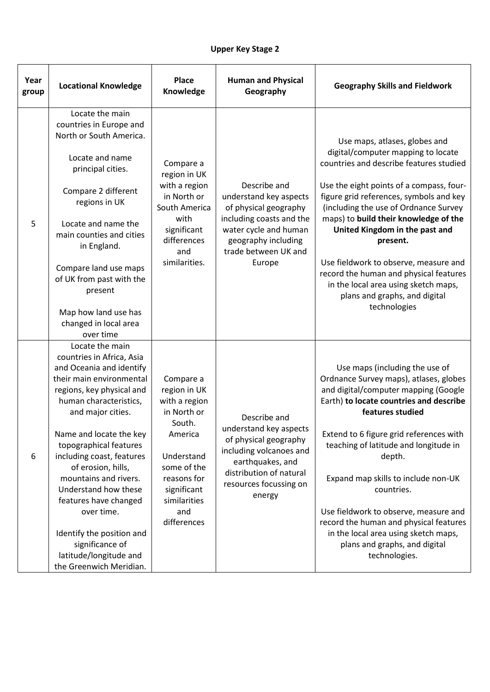| Year<br>group | <b>Locational Knowledge</b>                                                                                                                                                                                                                                                                                                                                                                                                                                                           | <b>Place</b><br>Knowledge                                                                                                                                                       | <b>Human and Physical</b><br>Geography                                                                                                                                        | <b>Geography Skills and Fieldwork</b>                                                                                                                                                                                                                                                                                                                                                                                                                                                                             |
|---------------|---------------------------------------------------------------------------------------------------------------------------------------------------------------------------------------------------------------------------------------------------------------------------------------------------------------------------------------------------------------------------------------------------------------------------------------------------------------------------------------|---------------------------------------------------------------------------------------------------------------------------------------------------------------------------------|-------------------------------------------------------------------------------------------------------------------------------------------------------------------------------|-------------------------------------------------------------------------------------------------------------------------------------------------------------------------------------------------------------------------------------------------------------------------------------------------------------------------------------------------------------------------------------------------------------------------------------------------------------------------------------------------------------------|
| 5             | Locate the main<br>countries in Europe and<br>North or South America.<br>Locate and name<br>principal cities.<br>Compare 2 different<br>regions in UK<br>Locate and name the<br>main counties and cities<br>in England.<br>Compare land use maps<br>of UK from past with the<br>present<br>Map how land use has<br>changed in local area<br>over time                                                                                                                                 | Compare a<br>region in UK<br>with a region<br>in North or<br>South America<br>with<br>significant<br>differences<br>and<br>similarities.                                        | Describe and<br>understand key aspects<br>of physical geography<br>including coasts and the<br>water cycle and human<br>geography including<br>trade between UK and<br>Europe | Use maps, atlases, globes and<br>digital/computer mapping to locate<br>countries and describe features studied<br>Use the eight points of a compass, four-<br>figure grid references, symbols and key<br>(including the use of Ordnance Survey<br>maps) to build their knowledge of the<br>United Kingdom in the past and<br>present.<br>Use fieldwork to observe, measure and<br>record the human and physical features<br>in the local area using sketch maps,<br>plans and graphs, and digital<br>technologies |
| 6             | Locate the main<br>countries in Africa, Asia<br>and Oceania and identify<br>their main environmental<br>regions, key physical and<br>human characteristics,<br>and major cities.<br>Name and locate the key<br>topographical features<br>including coast, features<br>of erosion, hills,<br>mountains and rivers.<br>Understand how these<br>features have changed<br>over time.<br>Identify the position and<br>significance of<br>latitude/longitude and<br>the Greenwich Meridian. | Compare a<br>region in UK<br>with a region<br>in North or<br>South.<br>America<br>Understand<br>some of the<br>reasons for<br>significant<br>similarities<br>and<br>differences | Describe and<br>understand key aspects<br>of physical geography<br>including volcanoes and<br>earthquakes, and<br>distribution of natural<br>resources focussing on<br>energy | Use maps (including the use of<br>Ordnance Survey maps), atlases, globes<br>and digital/computer mapping (Google<br>Earth) to locate countries and describe<br>features studied<br>Extend to 6 figure grid references with<br>teaching of latitude and longitude in<br>depth.<br>Expand map skills to include non-UK<br>countries.<br>Use fieldwork to observe, measure and<br>record the human and physical features<br>in the local area using sketch maps,<br>plans and graphs, and digital<br>technologies.   |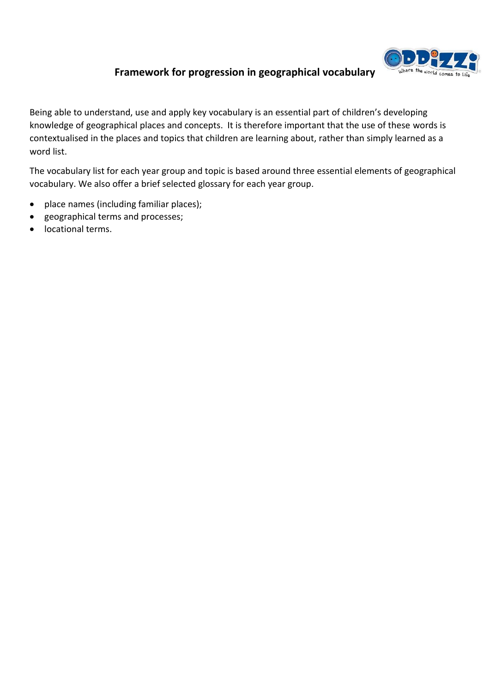

# **Framework for progression in geographical vocabulary**

Being able to understand, use and apply key vocabulary is an essential part of children's developing knowledge of geographical places and concepts. It is therefore important that the use of these words is contextualised in the places and topics that children are learning about, rather than simply learned as a word list.

The vocabulary list for each year group and topic is based around three essential elements of geographical vocabulary. We also offer a brief selected glossary for each year group.

- place names (including familiar places);
- geographical terms and processes;
- locational terms.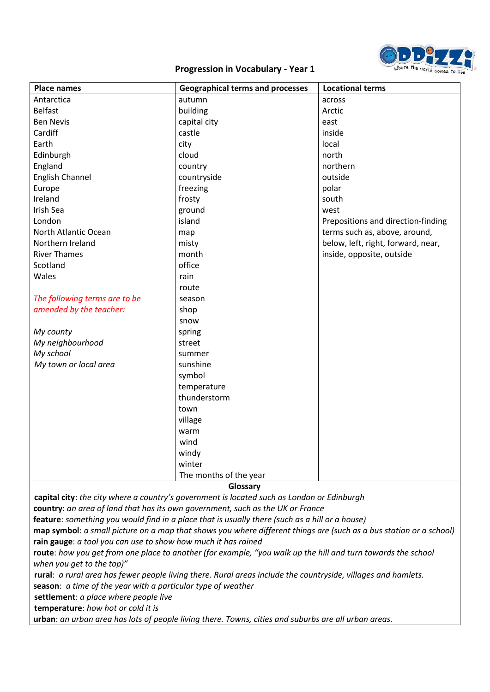

| <b>Place names</b>            | <b>Geographical terms and processes</b> | <b>Locational terms</b>            |
|-------------------------------|-----------------------------------------|------------------------------------|
| Antarctica                    | autumn                                  | across                             |
| <b>Belfast</b>                | building                                | Arctic                             |
| <b>Ben Nevis</b>              | capital city                            | east                               |
| Cardiff                       | castle                                  | inside                             |
| Earth                         | city                                    | local                              |
| Edinburgh                     | cloud                                   | north                              |
| England                       | country                                 | northern                           |
| <b>English Channel</b>        | countryside                             | outside                            |
| Europe                        | freezing                                | polar                              |
| Ireland                       | frosty                                  | south                              |
| Irish Sea                     | ground                                  | west                               |
| London                        | island                                  | Prepositions and direction-finding |
| North Atlantic Ocean          | map                                     | terms such as, above, around,      |
| Northern Ireland              | misty                                   | below, left, right, forward, near, |
| <b>River Thames</b>           | month                                   | inside, opposite, outside          |
| Scotland                      | office                                  |                                    |
| Wales                         | rain                                    |                                    |
|                               | route                                   |                                    |
| The following terms are to be | season                                  |                                    |
| amended by the teacher:       | shop                                    |                                    |
|                               | snow                                    |                                    |
| My county                     | spring                                  |                                    |
| My neighbourhood              | street                                  |                                    |
| My school                     | summer                                  |                                    |
| My town or local area         | sunshine                                |                                    |
|                               | symbol                                  |                                    |
|                               | temperature                             |                                    |
|                               | thunderstorm                            |                                    |
|                               | town                                    |                                    |
|                               | village                                 |                                    |
|                               | warm                                    |                                    |
|                               | wind                                    |                                    |
|                               | windy                                   |                                    |
|                               | winter                                  |                                    |
|                               | The months of the year                  |                                    |

**Glossary**

**capital city**: *the city where a country's government is located such as London or Edinburgh* **country**: *an area of land that has its own government, such as the UK or France*

**feature**: *something you would find in a place that is usually there (such as a hill or a house)*

**map symbol**: *a small picture on a map that shows you where different things are (such as a bus station or a school)* **rain gauge**: *a tool you can use to show how much it has rained*

**route**: *how you get from one place to another (for example, "you walk up the hill and turn towards the school when you get to the top)"*

**rural**: *a rural area has fewer people living there. Rural areas include the countryside, villages and hamlets.* **season**: *a time of the year with a particular type of weather*

**settlement**: *a place where people live*

**temperature**: *how hot or cold it is* 

**urban**: *an urban area has lots of people living there. Towns, cities and suburbs are all urban areas.*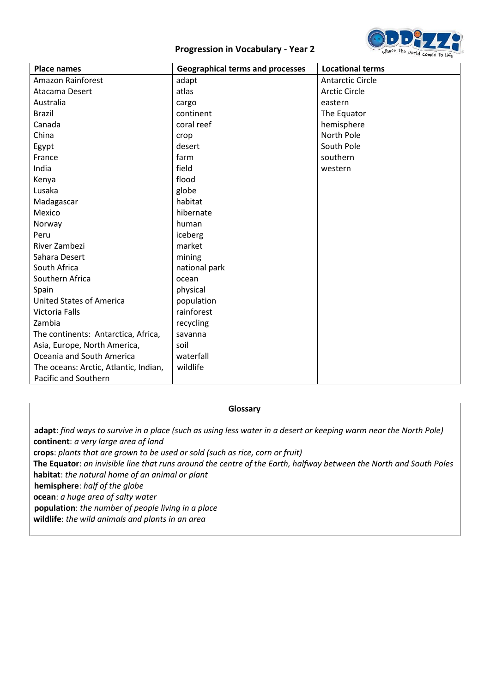

| <b>Place names</b>                    | <b>Geographical terms and processes</b> | <b>Locational terms</b> |
|---------------------------------------|-----------------------------------------|-------------------------|
| <b>Amazon Rainforest</b>              | adapt                                   | <b>Antarctic Circle</b> |
| Atacama Desert                        | atlas                                   | <b>Arctic Circle</b>    |
| Australia                             | cargo                                   | eastern                 |
| <b>Brazil</b>                         | continent                               | The Equator             |
| Canada                                | coral reef                              | hemisphere              |
| China                                 | crop                                    | North Pole              |
| Egypt                                 | desert                                  | South Pole              |
| France                                | farm                                    | southern                |
| India                                 | field                                   | western                 |
| Kenya                                 | flood                                   |                         |
| Lusaka                                | globe                                   |                         |
| Madagascar                            | habitat                                 |                         |
| Mexico                                | hibernate                               |                         |
| Norway                                | human                                   |                         |
| Peru                                  | iceberg                                 |                         |
| River Zambezi                         | market                                  |                         |
| Sahara Desert                         | mining                                  |                         |
| South Africa                          | national park                           |                         |
| Southern Africa                       | ocean                                   |                         |
| Spain                                 | physical                                |                         |
| <b>United States of America</b>       | population                              |                         |
| Victoria Falls                        | rainforest                              |                         |
| Zambia                                | recycling                               |                         |
| The continents: Antarctica, Africa,   | savanna                                 |                         |
| Asia, Europe, North America,          | soil                                    |                         |
| Oceania and South America             | waterfall                               |                         |
| The oceans: Arctic, Atlantic, Indian, | wildlife                                |                         |
| Pacific and Southern                  |                                         |                         |

## **Glossary**

**adapt**: *find ways to survive in a place (such as using less water in a desert or keeping warm near the North Pole)* **continent**: *a very large area of land* **crops**: *plants that are grown to be used or sold (such as rice, corn or fruit)* **The Equator**: *an invisible line that runs around the centre of the Earth, halfway between the North and South Poles* **habitat**: *the natural home of an animal or plant* **hemisphere**: *half of the globe* **ocean**: *a huge area of salty water* **population**: *the number of people living in a place*

**wildlife**: *the wild animals and plants in an area*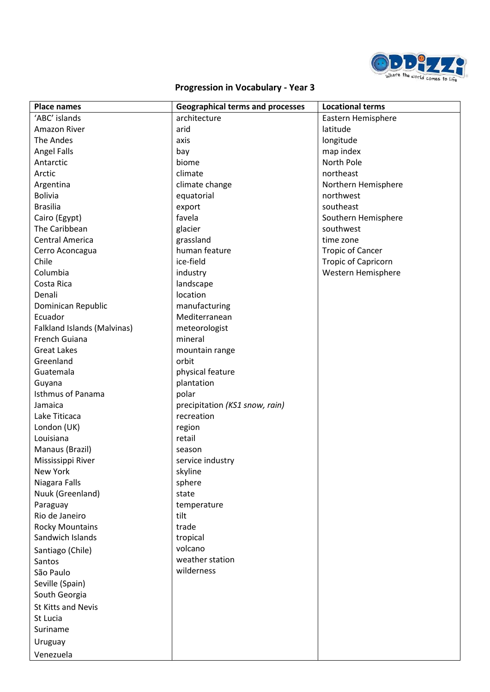

| <b>Place names</b>          | <b>Geographical terms and processes</b> | <b>Locational terms</b>    |
|-----------------------------|-----------------------------------------|----------------------------|
| 'ABC' islands               | architecture                            | Eastern Hemisphere         |
| <b>Amazon River</b>         | arid                                    | latitude                   |
| The Andes                   | axis                                    | longitude                  |
| <b>Angel Falls</b>          | bay                                     | map index                  |
| Antarctic                   | biome                                   | North Pole                 |
| Arctic                      | climate                                 | northeast                  |
| Argentina                   | climate change                          | Northern Hemisphere        |
| <b>Bolivia</b>              | equatorial                              | northwest                  |
| <b>Brasilia</b>             | export                                  | southeast                  |
| Cairo (Egypt)               | favela                                  | Southern Hemisphere        |
| The Caribbean               | glacier                                 | southwest                  |
| <b>Central America</b>      | grassland                               | time zone                  |
| Cerro Aconcagua             | human feature                           | <b>Tropic of Cancer</b>    |
| Chile                       | ice-field                               | <b>Tropic of Capricorn</b> |
| Columbia                    | industry                                | Western Hemisphere         |
| Costa Rica                  | landscape                               |                            |
| Denali                      | location                                |                            |
| Dominican Republic          | manufacturing                           |                            |
| Ecuador                     | Mediterranean                           |                            |
| Falkland Islands (Malvinas) | meteorologist                           |                            |
| French Guiana               | mineral                                 |                            |
| <b>Great Lakes</b>          | mountain range                          |                            |
| Greenland                   | orbit                                   |                            |
| Guatemala                   | physical feature                        |                            |
| Guyana                      | plantation                              |                            |
| <b>Isthmus of Panama</b>    | polar                                   |                            |
| Jamaica                     | precipitation (KS1 snow, rain)          |                            |
| Lake Titicaca               | recreation                              |                            |
| London (UK)                 | region                                  |                            |
| Louisiana                   | retail                                  |                            |
| Manaus (Brazil)             | season                                  |                            |
| Mississippi River           | service industry                        |                            |
| New York                    | skyline                                 |                            |
| Niagara Falls               | sphere                                  |                            |
| Nuuk (Greenland)            | state                                   |                            |
| Paraguay                    | temperature                             |                            |
| Rio de Janeiro              | tilt                                    |                            |
| <b>Rocky Mountains</b>      | trade                                   |                            |
| Sandwich Islands            | tropical                                |                            |
| Santiago (Chile)            | volcano                                 |                            |
| Santos                      | weather station                         |                            |
| São Paulo                   | wilderness                              |                            |
| Seville (Spain)             |                                         |                            |
| South Georgia               |                                         |                            |
| St Kitts and Nevis          |                                         |                            |
| St Lucia                    |                                         |                            |
| Suriname                    |                                         |                            |
| Uruguay                     |                                         |                            |
| Venezuela                   |                                         |                            |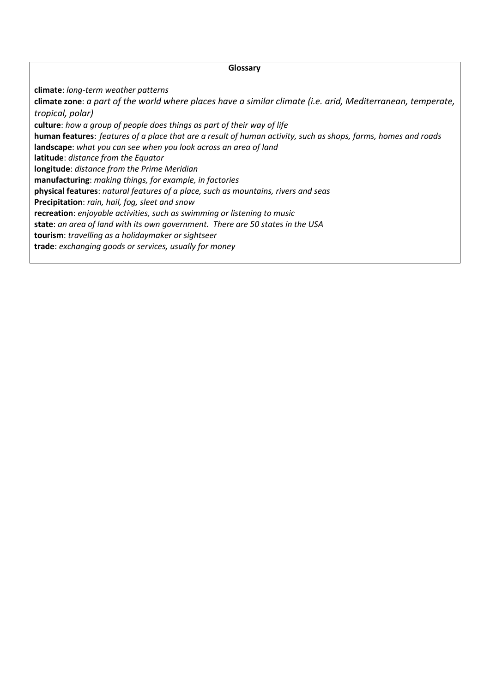#### **Glossary**

**climate**: *long-term weather patterns*

**climate zone**: *a part of the world where places have a similar climate (i.e. arid, Mediterranean, temperate, tropical, polar)*

**culture**: *how a group of people does things as part of their way of life*

**human features**: *features of a place that are a result of human activity, such as shops, farms, homes and roads* **landscape**: *what you can see when you look across an area of land*

**latitude**: *distance from the Equator*

**longitude**: *distance from the Prime Meridian*

**manufacturing**: *making things, for example, in factories*

**physical features**: *natural features of a place, such as mountains, rivers and seas*

**Precipitation**: *rain, hail, fog, sleet and snow* 

**recreation**: *enjoyable activities, such as swimming or listening to music*

**state**: *an area of land with its own government. There are 50 states in the USA*

**tourism**: *travelling as a holidaymaker or sightseer*

**trade**: *exchanging goods or services, usually for money*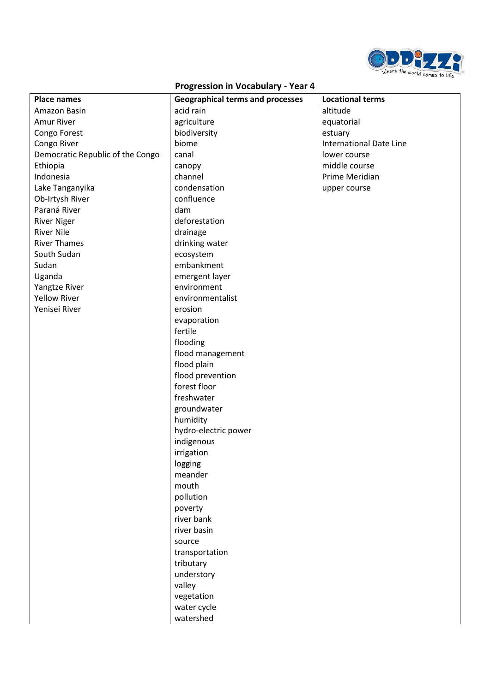

| <b>Place names</b>               | <b>Geographical terms and processes</b> | <b>Locational terms</b>        |
|----------------------------------|-----------------------------------------|--------------------------------|
| Amazon Basin                     | acid rain                               | altitude                       |
| <b>Amur River</b>                | agriculture                             | equatorial                     |
| Congo Forest                     | biodiversity                            | estuary                        |
| Congo River                      | biome                                   | <b>International Date Line</b> |
| Democratic Republic of the Congo | canal                                   | lower course                   |
| Ethiopia                         | canopy                                  | middle course                  |
| Indonesia                        | channel                                 | Prime Meridian                 |
| Lake Tanganyika                  | condensation                            | upper course                   |
| Ob-Irtysh River                  | confluence                              |                                |
| Paraná River                     | dam                                     |                                |
| <b>River Niger</b>               | deforestation                           |                                |
| <b>River Nile</b>                | drainage                                |                                |
| <b>River Thames</b>              | drinking water                          |                                |
| South Sudan                      | ecosystem                               |                                |
| Sudan                            | embankment                              |                                |
| Uganda                           | emergent layer                          |                                |
| Yangtze River                    | environment                             |                                |
| <b>Yellow River</b>              | environmentalist                        |                                |
| Yenisei River                    | erosion                                 |                                |
|                                  | evaporation                             |                                |
|                                  | fertile                                 |                                |
|                                  | flooding                                |                                |
|                                  | flood management                        |                                |
|                                  | flood plain                             |                                |
|                                  | flood prevention                        |                                |
|                                  | forest floor                            |                                |
|                                  | freshwater                              |                                |
|                                  | groundwater                             |                                |
|                                  | humidity                                |                                |
|                                  | hydro-electric power                    |                                |
|                                  | indigenous                              |                                |
|                                  | irrigation                              |                                |
|                                  | logging                                 |                                |
|                                  | meander                                 |                                |
|                                  | mouth                                   |                                |
|                                  | pollution                               |                                |
|                                  | poverty                                 |                                |
|                                  | river bank                              |                                |
|                                  | river basin                             |                                |
|                                  | source                                  |                                |
|                                  | transportation                          |                                |
|                                  | tributary                               |                                |
|                                  | understory                              |                                |
|                                  | valley                                  |                                |
|                                  | vegetation                              |                                |
|                                  | water cycle                             |                                |
|                                  | watershed                               |                                |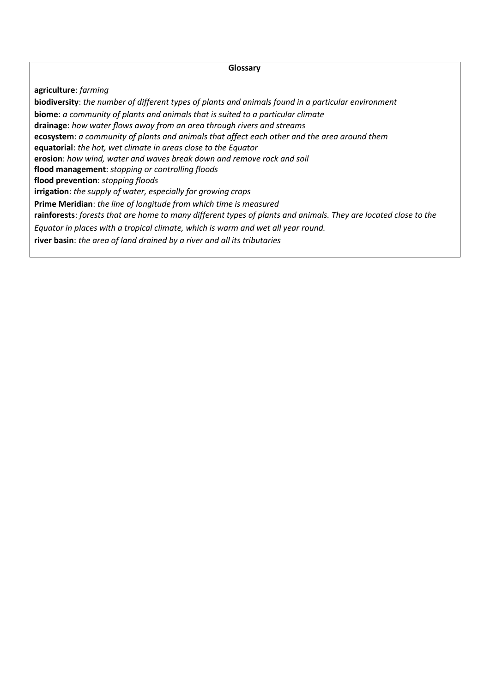#### **Glossary**

**agriculture**: *farming*

**biodiversity**: *the number of different types of plants and animals found in a particular environment* **biome**: *a community of plants and animals that is suited to a particular climate* **drainage**: *how water flows away from an area through rivers and streams* **ecosystem**: *a community of plants and animals that affect each other and the area around them* **equatorial**: *the hot, wet climate in areas close to the Equator* **erosion**: *how wind, water and waves break down and remove rock and soil* **flood management**: *stopping or controlling floods* **flood prevention**: *stopping floods* **irrigation**: *the supply of water, especially for growing crops* **Prime Meridian**: *the line of longitude from which time is measured* **rainforests**: *forests that are home to many different types of plants and animals. They are located close to the Equator in places with a tropical climate, which is warm and wet all year round.* **river basin**: *the area of land drained by a river and all its tributaries*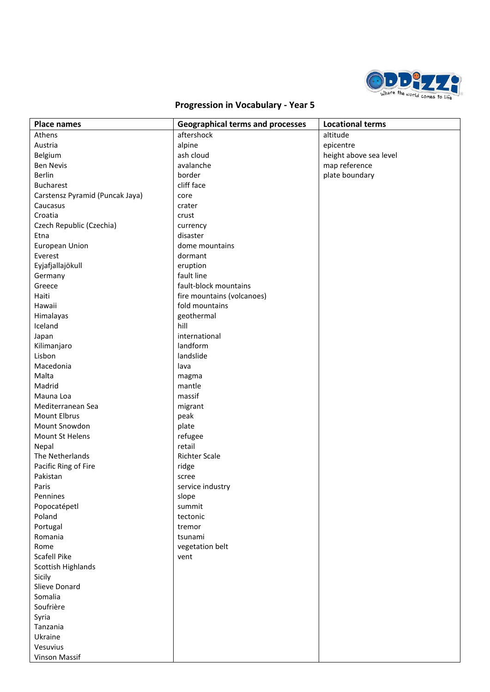

| <b>Place names</b>              | <b>Geographical terms and processes</b> | <b>Locational terms</b> |
|---------------------------------|-----------------------------------------|-------------------------|
| Athens                          | aftershock                              | altitude                |
| Austria                         | alpine                                  | epicentre               |
| Belgium                         | ash cloud                               | height above sea level  |
| <b>Ben Nevis</b>                | avalanche                               | map reference           |
| Berlin                          | border                                  | plate boundary          |
| <b>Bucharest</b>                | cliff face                              |                         |
| Carstensz Pyramid (Puncak Jaya) | core                                    |                         |
| Caucasus                        | crater                                  |                         |
| Croatia                         | crust                                   |                         |
| Czech Republic (Czechia)        | currency                                |                         |
| Etna                            | disaster                                |                         |
| <b>European Union</b>           | dome mountains                          |                         |
| Everest                         | dormant                                 |                         |
| Eyjafjallajökull                | eruption                                |                         |
| Germany                         | fault line                              |                         |
| Greece                          | fault-block mountains                   |                         |
| Haiti                           | fire mountains (volcanoes)              |                         |
| Hawaii                          | fold mountains                          |                         |
| Himalayas                       | geothermal                              |                         |
| Iceland                         | hill                                    |                         |
| Japan                           | international                           |                         |
| Kilimanjaro                     | landform                                |                         |
| Lisbon                          | landslide                               |                         |
| Macedonia                       | lava                                    |                         |
| Malta                           | magma                                   |                         |
| Madrid                          | mantle                                  |                         |
| Mauna Loa                       | massif                                  |                         |
| Mediterranean Sea               | migrant                                 |                         |
| Mount Elbrus                    | peak                                    |                         |
| Mount Snowdon                   | plate                                   |                         |
| Mount St Helens                 | refugee                                 |                         |
| Nepal                           | retail                                  |                         |
| The Netherlands                 | Richter Scale                           |                         |
| Pacific Ring of Fire            | ridge                                   |                         |
| Pakistan                        | scree                                   |                         |
| Paris                           | service industry                        |                         |
| Pennines                        | slope                                   |                         |
| Popocatépetl                    | summit                                  |                         |
| Poland                          | tectonic                                |                         |
| Portugal                        | tremor                                  |                         |
| Romania                         | tsunami                                 |                         |
| Rome                            | vegetation belt                         |                         |
| Scafell Pike                    | vent                                    |                         |
| Scottish Highlands              |                                         |                         |
| Sicily                          |                                         |                         |
| Slieve Donard                   |                                         |                         |
| Somalia                         |                                         |                         |
| Soufrière                       |                                         |                         |
| Syria                           |                                         |                         |
| Tanzania                        |                                         |                         |
| Ukraine                         |                                         |                         |
| Vesuvius                        |                                         |                         |
| Vinson Massif                   |                                         |                         |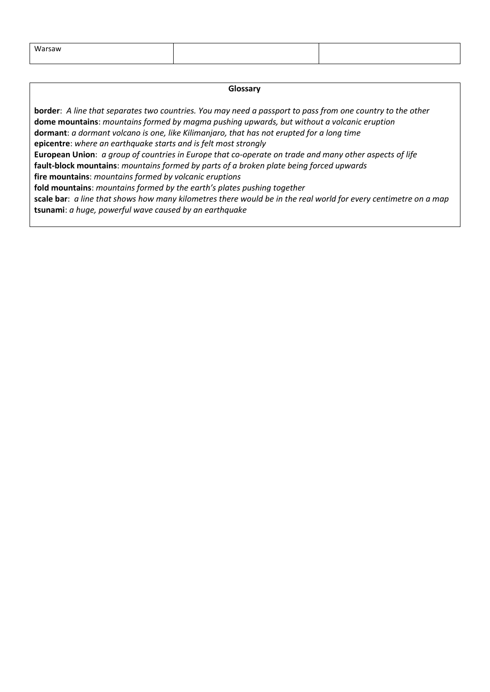| Warsaw |  |
|--------|--|
|        |  |

#### **Glossary**

**border**: *A line that separates two countries. You may need a passport to pass from one country to the other* **dome mountains**: *mountains formed by magma pushing upwards, but without a volcanic eruption*  **dormant**: *a dormant volcano is one, like Kilimanjaro, that has not erupted for a long time* **epicentre**: *where an earthquake starts and is felt most strongly* **European Union**: *a group of countries in Europe that co-operate on trade and many other aspects of life* **fault-block mountains**: *mountains formed by parts of a broken plate being forced upwards* **fire mountains**: *mountains formed by volcanic eruptions* **fold mountains**: *mountains formed by the earth's plates pushing together* **scale bar**: *a line that shows how many kilometres there would be in the real world for every centimetre on a map* **tsunami**: *a huge, powerful wave caused by an earthquake*